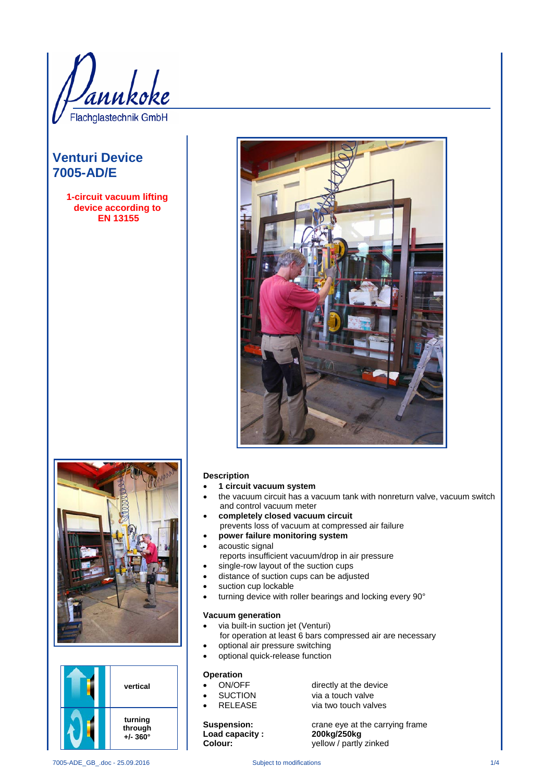)<br>annkoke Flachglastechnik GmbH

# **Venturi Device 7005-AD/E**

**1-circuit vacuum lifting device according to EN 13155**







### **Description**

- **1 circuit vacuum system**
- the vacuum circuit has a vacuum tank with nonreturn valve, vacuum switch and control vacuum meter
- **completely closed vacuum circuit** prevents loss of vacuum at compressed air failure
- **power failure monitoring system**
- acoustic signal
- reports insufficient vacuum/drop in air pressure
- single-row layout of the suction cups
- distance of suction cups can be adjusted
- suction cup lockable
- turning device with roller bearings and locking every 90°

## **Vacuum generation**

- via built-in suction jet (Venturi)
- for operation at least 6 bars compressed air are necessary • optional air pressure switching
- optional quick-release function

- **Operation**<br>• ON/OFF
- 
- 

**Load capacity :** 

ON/OFF directly at the device<br>
SUCTION via a touch valve via a touch valve RELEASE via two touch valves

**Suspension:** crane eye at the carrying frame<br> **Load capacity: 200kg/250kg Colour:** yellow / partly zinked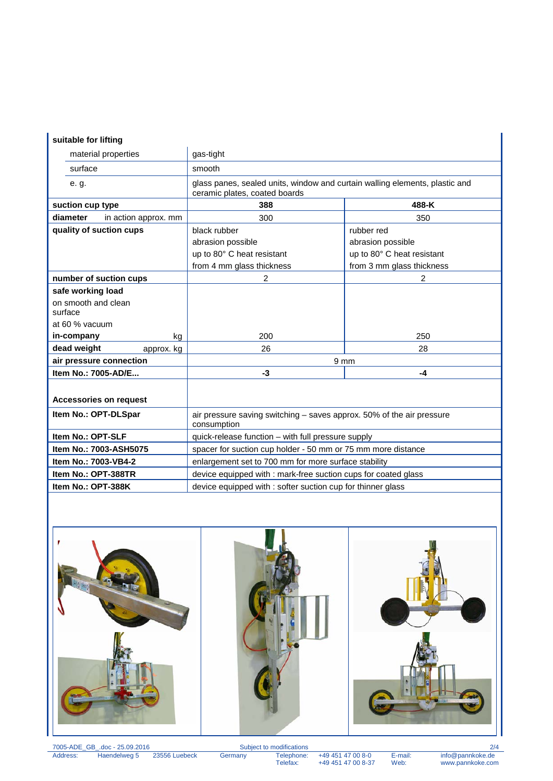## **suitable for lifting**

| suitable for lifting          |                      |                                                                                                              |                            |
|-------------------------------|----------------------|--------------------------------------------------------------------------------------------------------------|----------------------------|
| material properties           |                      | gas-tight                                                                                                    |                            |
| surface                       |                      | smooth                                                                                                       |                            |
| e. g.                         |                      | glass panes, sealed units, window and curtain walling elements, plastic and<br>ceramic plates, coated boards |                            |
| suction cup type              |                      | 388                                                                                                          | 488-K                      |
| diameter                      | in action approx. mm | 300                                                                                                          | 350                        |
| quality of suction cups       |                      | black rubber                                                                                                 | rubber red                 |
|                               |                      | abrasion possible                                                                                            | abrasion possible          |
|                               |                      | up to 80° C heat resistant                                                                                   | up to 80° C heat resistant |
|                               |                      | from 4 mm glass thickness                                                                                    | from 3 mm glass thickness  |
| number of suction cups        |                      | 2                                                                                                            | 2                          |
| safe working load             |                      |                                                                                                              |                            |
| on smooth and clean           |                      |                                                                                                              |                            |
| surface                       |                      |                                                                                                              |                            |
| at 60 % vacuum                |                      |                                                                                                              |                            |
| in-company                    | kg                   | 200                                                                                                          | 250                        |
| dead weight                   | approx. kg           | 26                                                                                                           | 28                         |
| air pressure connection       |                      | 9 <sub>mm</sub>                                                                                              |                            |
| Item No.: 7005-AD/E           |                      | -3                                                                                                           | $-4$                       |
|                               |                      |                                                                                                              |                            |
| <b>Accessories on request</b> |                      |                                                                                                              |                            |
| Item No.: OPT-DLSpar          |                      | air pressure saving switching - saves approx. 50% of the air pressure<br>consumption                         |                            |
| Item No.: OPT-SLF             |                      | quick-release function - with full pressure supply                                                           |                            |
| Item No.: 7003-ASH5075        |                      | spacer for suction cup holder - 50 mm or 75 mm more distance                                                 |                            |
| Item No.: 7003-VB4-2          |                      | enlargement set to 700 mm for more surface stability                                                         |                            |
| Item No.: OPT-388TR           |                      | device equipped with : mark-free suction cups for coated glass                                               |                            |
| Item No.: OPT-388K            |                      | device equipped with : softer suction cup for thinner glass                                                  |                            |



7005-ADE\_GB\_.doc - 25.09.2016 Subject to modifications 2/4 Address: Haendelweg 5 23556 Luebeck Germany Telephone: +49 451 47 00 8-0 E-mail: info@pannkoke.de

Telephone: +49 451 47 00 8-0 E-mail: info@pannkoke.de<br>Telefax: +49 451 47 00 8-37 Web: www.pannkoke.com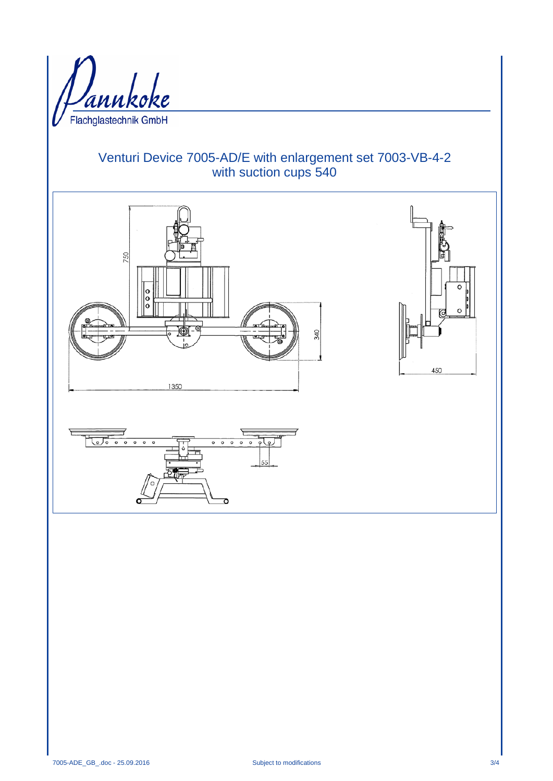

# Venturi Device 7005-AD/E with enlargement set 7003-VB-4-2 with suction cups 540